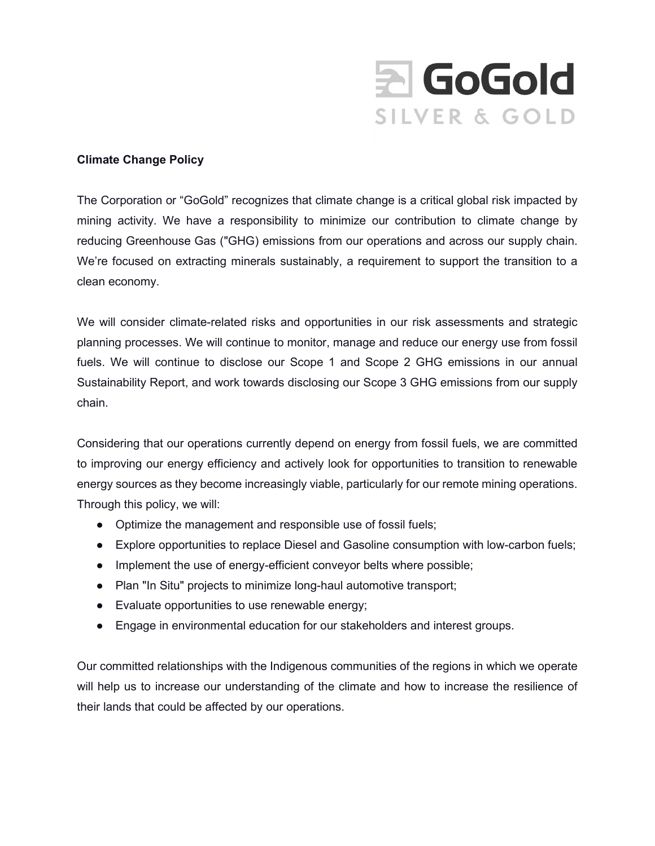

## **Climate Change Policy**

The Corporation or "GoGold" recognizes that climate change is a critical global risk impacted by mining activity. We have a responsibility to minimize our contribution to climate change by reducing Greenhouse Gas ("GHG) emissions from our operations and across our supply chain. We're focused on extracting minerals sustainably, a requirement to support the transition to a clean economy.

We will consider climate-related risks and opportunities in our risk assessments and strategic planning processes. We will continue to monitor, manage and reduce our energy use from fossil fuels. We will continue to disclose our Scope 1 and Scope 2 GHG emissions in our annual Sustainability Report, and work towards disclosing our Scope 3 GHG emissions from our supply chain.

Considering that our operations currently depend on energy from fossil fuels, we are committed to improving our energy efficiency and actively look for opportunities to transition to renewable energy sources as they become increasingly viable, particularly for our remote mining operations. Through this policy, we will:

- Optimize the management and responsible use of fossil fuels;
- Explore opportunities to replace Diesel and Gasoline consumption with low-carbon fuels;
- Implement the use of energy-efficient conveyor belts where possible;
- Plan "In Situ" projects to minimize long-haul automotive transport;
- Evaluate opportunities to use renewable energy;
- Engage in environmental education for our stakeholders and interest groups.

Our committed relationships with the Indigenous communities of the regions in which we operate will help us to increase our understanding of the climate and how to increase the resilience of their lands that could be affected by our operations.